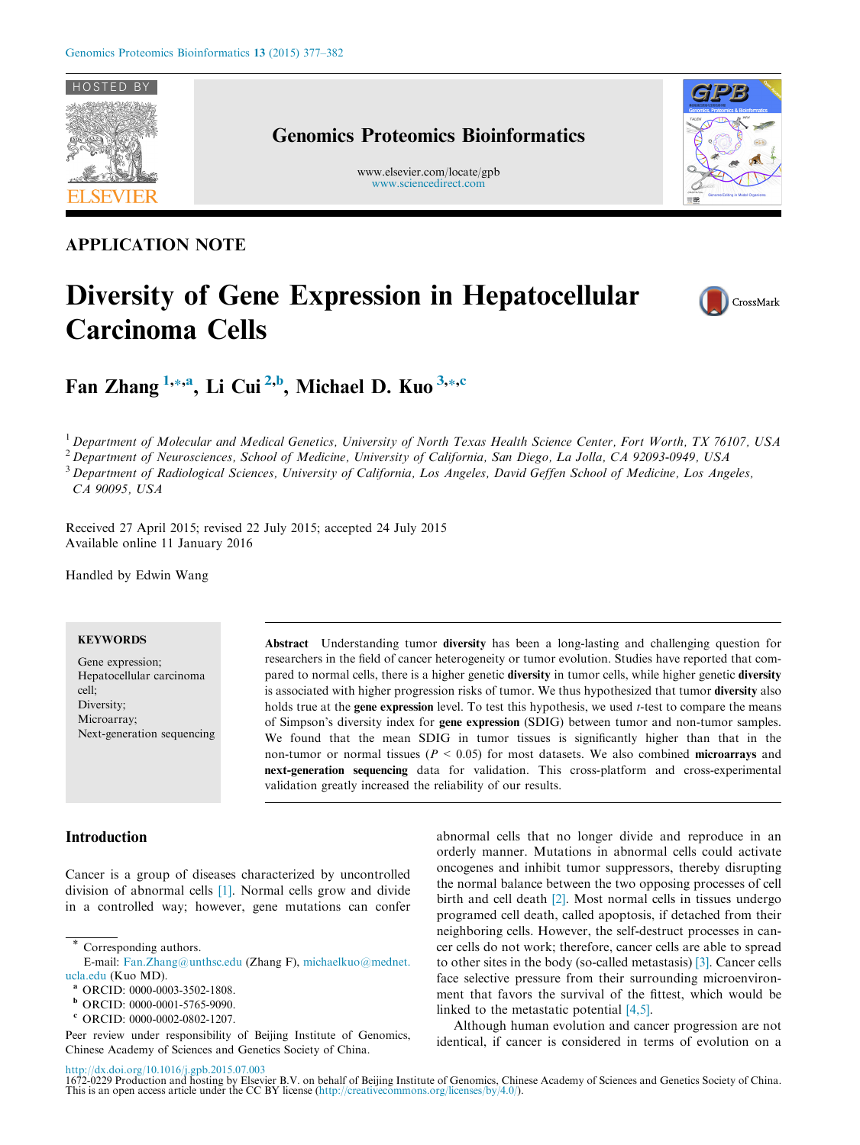

## Genomics Proteomics Bioinformatics

www.elsevier.com/locate/gpb [www.sciencedirect.com](http://www.sciencedirect.com)





# Diversity of Gene Expression in Hepatocellular Carcinoma Cells



Fan Zhang <sup>1,\*,a</sup>, Li Cui<sup>2,b</sup>, Michael D. Kuo<sup>3,\*,c</sup>

 $1$  Department of Molecular and Medical Genetics, University of North Texas Health Science Center, Fort Worth, TX 76107, USA

 $2$  Department of Neurosciences, School of Medicine, University of California, San Diego, La Jolla, CA 92093-0949, USA <sup>3</sup> Department of Radiological Sciences, University of California, Los Angeles, David Geffen School of Medicine, Los Angeles, CA 90095, USA

Received 27 April 2015; revised 22 July 2015; accepted 24 July 2015 Available online 11 January 2016

Handled by Edwin Wang

#### **KEYWORDS**

Gene expression; Hepatocellular carcinoma cell; Diversity; Microarray; Next-generation sequencing

Abstract Understanding tumor diversity has been a long-lasting and challenging question for researchers in the field of cancer heterogeneity or tumor evolution. Studies have reported that compared to normal cells, there is a higher genetic diversity in tumor cells, while higher genetic diversity is associated with higher progression risks of tumor. We thus hypothesized that tumor diversity also holds true at the gene expression level. To test this hypothesis, we used  $t$ -test to compare the means of Simpson's diversity index for gene expression (SDIG) between tumor and non-tumor samples. We found that the mean SDIG in tumor tissues is significantly higher than that in the non-tumor or normal tissues ( $P < 0.05$ ) for most datasets. We also combined **microarrays** and next-generation sequencing data for validation. This cross-platform and cross-experimental validation greatly increased the reliability of our results.

### Introduction

Cancer is a group of diseases characterized by uncontrolled division of abnormal cells [\[1\].](#page-4-0) Normal cells grow and divide in a controlled way; however, gene mutations can confer

Corresponding authors.

- <sup>a</sup> ORCID: 0000-0003-3502-1808.
- <sup>b</sup> ORCID: 0000-0001-5765-9090.
- <sup>c</sup> ORCID: 0000-0002-0802-1207.

Peer review under responsibility of Beijing Institute of Genomics, Chinese Academy of Sciences and Genetics Society of China.

abnormal cells that no longer divide and reproduce in an orderly manner. Mutations in abnormal cells could activate oncogenes and inhibit tumor suppressors, thereby disrupting the normal balance between the two opposing processes of cell birth and cell death [\[2\].](#page-4-0) Most normal cells in tissues undergo programed cell death, called apoptosis, if detached from their neighboring cells. However, the self-destruct processes in cancer cells do not work; therefore, cancer cells are able to spread to other sites in the body (so-called metastasis) [\[3\]](#page-4-0). Cancer cells face selective pressure from their surrounding microenvironment that favors the survival of the fittest, which would be linked to the metastatic potential [\[4,5\]](#page-4-0).

Although human evolution and cancer progression are not identical, if cancer is considered in terms of evolution on a

E-mail: [Fan.Zhang@unthsc.edu](mailto:Fan.Zhang@unthsc.edu) (Zhang F), [michaelkuo@mednet.](mailto:michaelkuo@mednet.ucla.edu) [ucla.edu](mailto:michaelkuo@mednet.ucla.edu) (Kuo MD).

<http://dx.doi.org/10.1016/j.gpb.2015.07.003><br>1672-0229 Production and hosting by Elsevier B.V. on behalf of Beijing Institute of Genomics, Chinese Academy of Sciences and Genetics Society of China.<br>This is an open access ar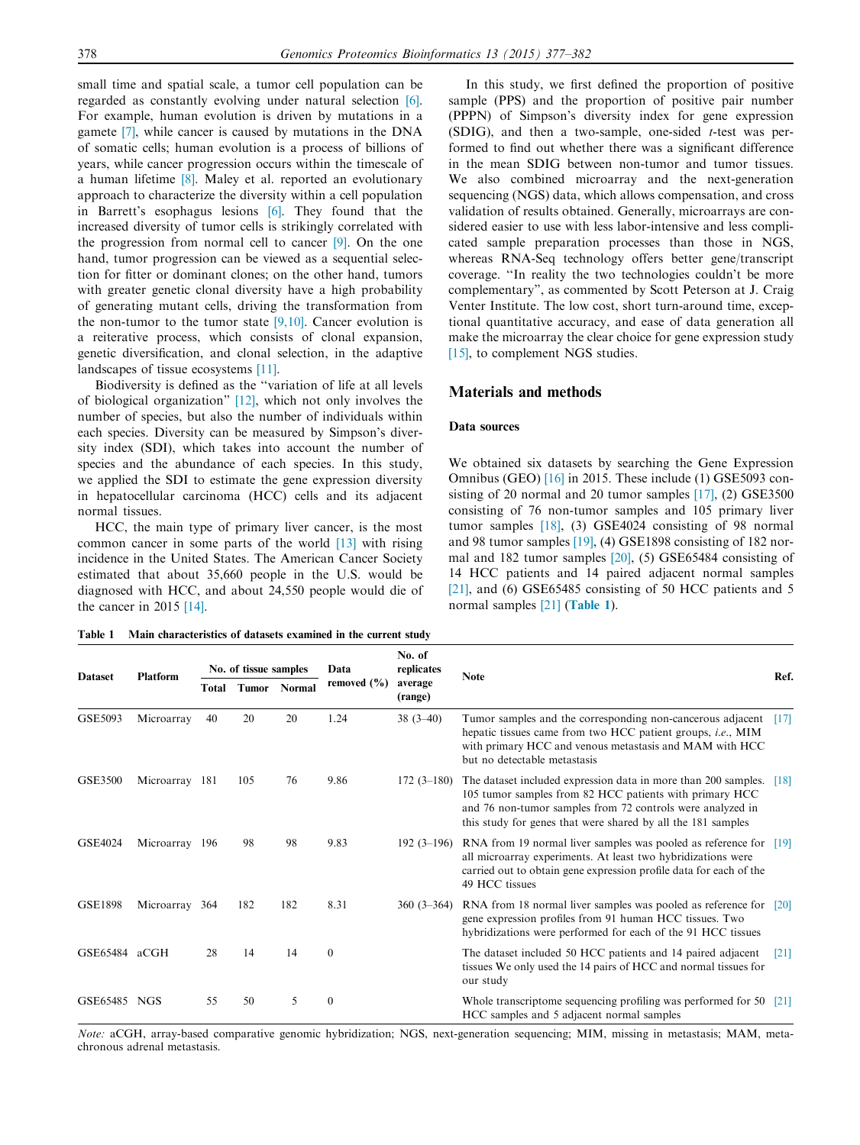<span id="page-1-0"></span>small time and spatial scale, a tumor cell population can be regarded as constantly evolving under natural selection [\[6\]](#page-4-0). For example, human evolution is driven by mutations in a gamete [\[7\],](#page-4-0) while cancer is caused by mutations in the DNA of somatic cells; human evolution is a process of billions of years, while cancer progression occurs within the timescale of a human lifetime [\[8\]](#page-4-0). Maley et al. reported an evolutionary approach to characterize the diversity within a cell population in Barrett's esophagus lesions [\[6\].](#page-4-0) They found that the increased diversity of tumor cells is strikingly correlated with the progression from normal cell to cancer [\[9\]](#page-4-0). On the one hand, tumor progression can be viewed as a sequential selection for fitter or dominant clones; on the other hand, tumors with greater genetic clonal diversity have a high probability of generating mutant cells, driving the transformation from the non-tumor to the tumor state  $[9,10]$ . Cancer evolution is a reiterative process, which consists of clonal expansion, genetic diversification, and clonal selection, in the adaptive landscapes of tissue ecosystems [\[11\].](#page-4-0)

Biodiversity is defined as the ''variation of life at all levels of biological organization" [\[12\],](#page-4-0) which not only involves the number of species, but also the number of individuals within each species. Diversity can be measured by Simpson's diversity index (SDI), which takes into account the number of species and the abundance of each species. In this study, we applied the SDI to estimate the gene expression diversity in hepatocellular carcinoma (HCC) cells and its adjacent normal tissues.

HCC, the main type of primary liver cancer, is the most common cancer in some parts of the world [\[13\]](#page-4-0) with rising incidence in the United States. The American Cancer Society estimated that about 35,660 people in the U.S. would be diagnosed with HCC, and about 24,550 people would die of the cancer in 2015 [\[14\]](#page-4-0).

Table 1 Main characteristics of datasets examined in the current study

In this study, we first defined the proportion of positive sample (PPS) and the proportion of positive pair number (PPPN) of Simpson's diversity index for gene expression (SDIG), and then a two-sample, one-sided  $t$ -test was performed to find out whether there was a significant difference in the mean SDIG between non-tumor and tumor tissues. We also combined microarray and the next-generation sequencing (NGS) data, which allows compensation, and cross validation of results obtained. Generally, microarrays are considered easier to use with less labor-intensive and less complicated sample preparation processes than those in NGS, whereas RNA-Seq technology offers better gene/transcript coverage. ''In reality the two technologies couldn't be more complementary", as commented by Scott Peterson at J. Craig Venter Institute. The low cost, short turn-around time, exceptional quantitative accuracy, and ease of data generation all make the microarray the clear choice for gene expression study [\[15\],](#page-4-0) to complement NGS studies.

#### Materials and methods

#### Data sources

We obtained six datasets by searching the Gene Expression Omnibus (GEO) [\[16\]](#page-4-0) in 2015. These include (1) GSE5093 con-sisting of 20 normal and 20 tumor samples [\[17\],](#page-4-0) (2) GSE3500 consisting of 76 non-tumor samples and 105 primary liver tumor samples [\[18\]](#page-5-0), (3) GSE4024 consisting of 98 normal and 98 tumor samples [\[19\]](#page-5-0), (4) GSE1898 consisting of 182 normal and 182 tumor samples [\[20\]](#page-5-0), (5) GSE65484 consisting of 14 HCC patients and 14 paired adjacent normal samples [\[21\],](#page-5-0) and (6) GSE65485 consisting of 50 HCC patients and 5 normal samples [\[21\]](#page-5-0) (Table 1).

|                | <b>Platform</b> | No. of tissue samples |              |        | Data            | No. of<br>replicates |                                                                                                                                                                                                                                                         |                    |
|----------------|-----------------|-----------------------|--------------|--------|-----------------|----------------------|---------------------------------------------------------------------------------------------------------------------------------------------------------------------------------------------------------------------------------------------------------|--------------------|
| <b>Dataset</b> |                 | Total                 | <b>Tumor</b> | Normal | removed $(\% )$ | average<br>(range)   | <b>Note</b>                                                                                                                                                                                                                                             |                    |
| GSE5093        | Microarray      | 40                    | 20           | 20     | 1.24            | $38(3-40)$           | Tumor samples and the corresponding non-cancerous adjacent<br>hepatic tissues came from two HCC patient groups, <i>i.e.</i> , MIM<br>with primary HCC and venous metastasis and MAM with HCC<br>but no detectable metastasis                            | [17]               |
| GSE3500        | Microarray      | 181                   | 105          | 76     | 9.86            | $172(3-180)$         | The dataset included expression data in more than 200 samples.<br>105 tumor samples from 82 HCC patients with primary HCC<br>and 76 non-tumor samples from 72 controls were analyzed in<br>this study for genes that were shared by all the 181 samples | $\lceil 18 \rceil$ |
| <b>GSE4024</b> | Microarray 196  |                       | 98           | 98     | 9.83            | $192(3-196)$         | RNA from 19 normal liver samples was pooled as reference for [19]<br>all microarray experiments. At least two hybridizations were<br>carried out to obtain gene expression profile data for each of the<br>49 HCC tissues                               |                    |
| <b>GSE1898</b> | Microarray 364  |                       | 182          | 182    | 8.31            | $360(3-364)$         | RNA from 18 normal liver samples was pooled as reference for [20]<br>gene expression profiles from 91 human HCC tissues. Two<br>hybridizations were performed for each of the 91 HCC tissues                                                            |                    |
| GSE65484 aCGH  |                 | 28                    | 14           | 14     | $\mathbf{0}$    |                      | The dataset included 50 HCC patients and 14 paired adjacent<br>tissues We only used the 14 pairs of HCC and normal tissues for<br>our study                                                                                                             | $\lceil 21 \rceil$ |
| GSE65485 NGS   |                 | 55                    | 50           | 5      | $\mathbf{0}$    |                      | Whole transcriptome sequencing profiling was performed for 50<br>HCC samples and 5 adjacent normal samples                                                                                                                                              | [21]               |

Note: aCGH, array-based comparative genomic hybridization; NGS, next-generation sequencing; MIM, missing in metastasis; MAM, metachronous adrenal metastasis.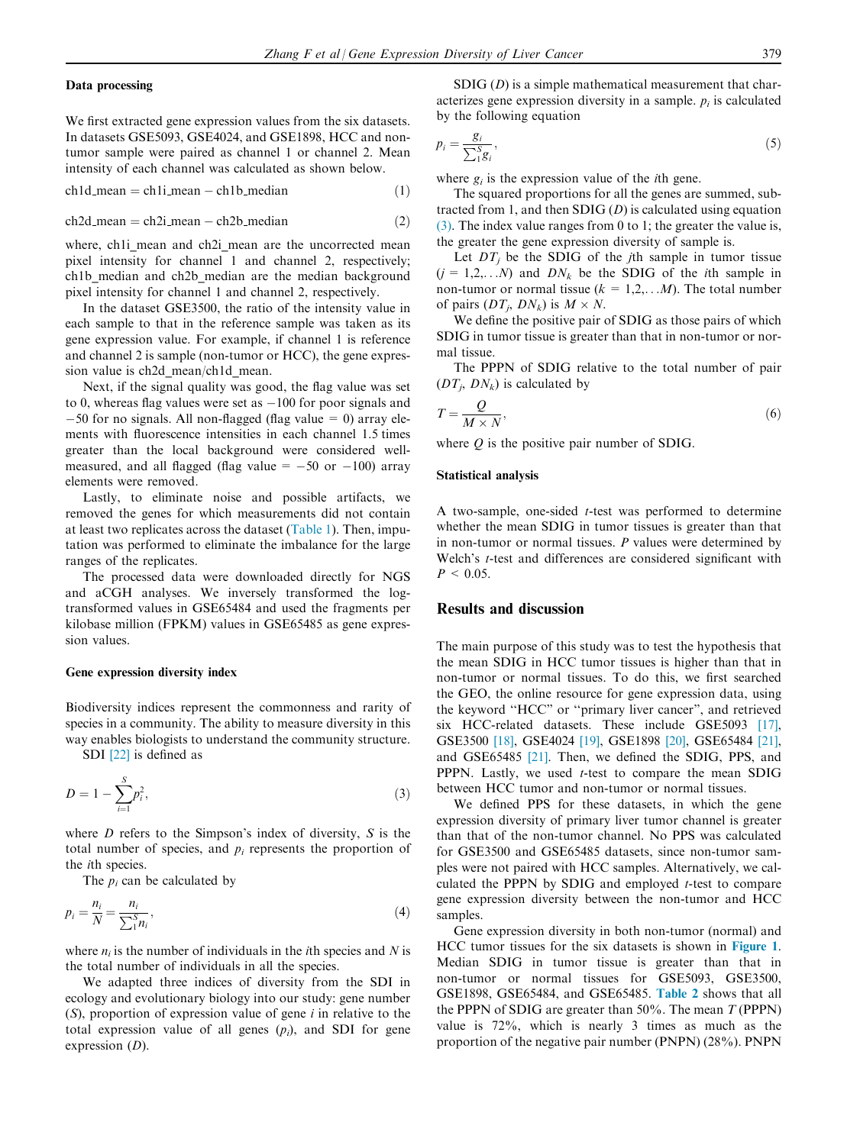#### <span id="page-2-0"></span>Data processing

We first extracted gene expression values from the six datasets. In datasets GSE5093, GSE4024, and GSE1898, HCC and nontumor sample were paired as channel 1 or channel 2. Mean intensity of each channel was calculated as shown below.

 $ch1d$  mean  $= ch1i$  mean  $- ch1b$  median  $(1)$ 

$$
ch2d_mean = ch2i_mean - ch2b_median
$$
 (2)

where, ch1i mean and ch2i mean are the uncorrected mean pixel intensity for channel 1 and channel 2, respectively; ch1b\_median and ch2b\_median are the median background pixel intensity for channel 1 and channel 2, respectively.

In the dataset GSE3500, the ratio of the intensity value in each sample to that in the reference sample was taken as its gene expression value. For example, if channel 1 is reference and channel 2 is sample (non-tumor or HCC), the gene expression value is ch2d\_mean/ch1d\_mean.

Next, if the signal quality was good, the flag value was set to 0, whereas flag values were set as  $-100$  for poor signals and  $-50$  for no signals. All non-flagged (flag value  $= 0$ ) array elements with fluorescence intensities in each channel 1.5 times greater than the local background were considered wellmeasured, and all flagged (flag value  $= -50$  or  $-100$ ) array elements were removed.

Lastly, to eliminate noise and possible artifacts, we removed the genes for which measurements did not contain at least two replicates across the dataset [\(Table 1\)](#page-1-0). Then, imputation was performed to eliminate the imbalance for the large ranges of the replicates.

The processed data were downloaded directly for NGS and aCGH analyses. We inversely transformed the logtransformed values in GSE65484 and used the fragments per kilobase million (FPKM) values in GSE65485 as gene expression values.

#### Gene expression diversity index

Biodiversity indices represent the commonness and rarity of species in a community. The ability to measure diversity in this way enables biologists to understand the community structure.

SDI [\[22\]](#page-5-0) is defined as

$$
D = 1 - \sum_{i=1}^{S} p_i^2,
$$
\n(3)

where  $D$  refers to the Simpson's index of diversity,  $S$  is the total number of species, and  $p_i$  represents the proportion of the ith species.

The  $p_i$  can be calculated by

$$
p_i = \frac{n_i}{N} = \frac{n_i}{\sum_{i=1}^{S} n_i},\tag{4}
$$

where  $n_i$  is the number of individuals in the *i*th species and *N* is the total number of individuals in all the species.

We adapted three indices of diversity from the SDI in ecology and evolutionary biology into our study: gene number  $(S)$ , proportion of expression value of gene *i* in relative to the total expression value of all genes  $(p_i)$ , and SDI for gene expression  $(D)$ .

SDIG (D) is a simple mathematical measurement that characterizes gene expression diversity in a sample.  $p_i$  is calculated by the following equation

$$
p_i = \frac{g_i}{\sum_1^S g_i},\tag{5}
$$

where  $g_i$  is the expression value of the *i*th gene.

The squared proportions for all the genes are summed, subtracted from 1, and then SDIG  $(D)$  is calculated using equation (3). The index value ranges from 0 to 1; the greater the value is, the greater the gene expression diversity of sample is.

Let  $DT_i$  be the SDIG of the *j*th sample in tumor tissue  $(j = 1,2,...N)$  and  $DN_k$  be the SDIG of the *i*th sample in non-tumor or normal tissue ( $k = 1, 2, \ldots M$ ). The total number of pairs  $(DT_i, DN_k)$  is  $M \times N$ .

We define the positive pair of SDIG as those pairs of which SDIG in tumor tissue is greater than that in non-tumor or normal tissue.

The PPPN of SDIG relative to the total number of pair  $(DT_i, DN_k)$  is calculated by

$$
T = \frac{Q}{M \times N},\tag{6}
$$

where  $\hat{O}$  is the positive pair number of SDIG.

#### Statistical analysis

A two-sample, one-sided  $t$ -test was performed to determine whether the mean SDIG in tumor tissues is greater than that in non-tumor or normal tissues. P values were determined by Welch's *t*-test and differences are considered significant with  $P < 0.05$ .

#### Results and discussion

The main purpose of this study was to test the hypothesis that the mean SDIG in HCC tumor tissues is higher than that in non-tumor or normal tissues. To do this, we first searched the GEO, the online resource for gene expression data, using the keyword ''HCC" or ''primary liver cancer", and retrieved six HCC-related datasets. These include GSE5093 [\[17\]](#page-4-0), GSE3500 [\[18\],](#page-5-0) GSE4024 [\[19\],](#page-5-0) GSE1898 [\[20\]](#page-5-0), GSE65484 [\[21\]](#page-5-0), and GSE65485 [\[21\].](#page-5-0) Then, we defined the SDIG, PPS, and PPPN. Lastly, we used *t*-test to compare the mean SDIG between HCC tumor and non-tumor or normal tissues.

We defined PPS for these datasets, in which the gene expression diversity of primary liver tumor channel is greater than that of the non-tumor channel. No PPS was calculated for GSE3500 and GSE65485 datasets, since non-tumor samples were not paired with HCC samples. Alternatively, we calculated the PPPN by SDIG and employed  $t$ -test to compare gene expression diversity between the non-tumor and HCC samples.

Gene expression diversity in both non-tumor (normal) and HCC tumor tissues for the six datasets is shown in [Figure 1](#page-3-0). Median SDIG in tumor tissue is greater than that in non-tumor or normal tissues for GSE5093, GSE3500, GSE1898, GSE65484, and GSE65485. [Table 2](#page-3-0) shows that all the PPPN of SDIG are greater than  $50\%$ . The mean T (PPPN) value is 72%, which is nearly 3 times as much as the proportion of the negative pair number (PNPN) (28%). PNPN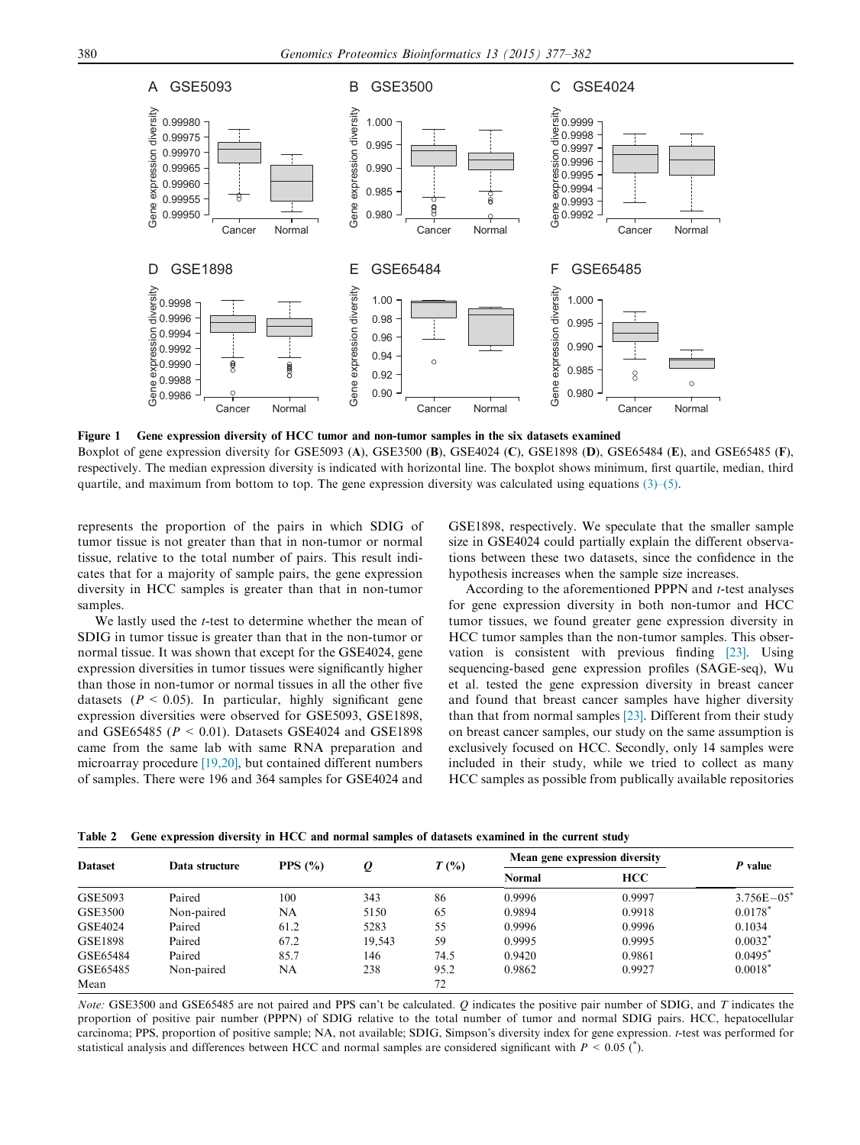<span id="page-3-0"></span>

Figure 1 Gene expression diversity of HCC tumor and non-tumor samples in the six datasets examined

Boxplot of gene expression diversity for GSE5093 (A), GSE3500 (B), GSE4024 (C), GSE1898 (D), GSE65484 (E), and GSE65485 (F), respectively. The median expression diversity is indicated with horizontal line. The boxplot shows minimum, first quartile, median, third quartile, and maximum from bottom to top. The gene expression diversity was calculated using equations  $(3)$ – $(5)$ .

represents the proportion of the pairs in which SDIG of tumor tissue is not greater than that in non-tumor or normal tissue, relative to the total number of pairs. This result indicates that for a majority of sample pairs, the gene expression diversity in HCC samples is greater than that in non-tumor samples.

We lastly used the *t*-test to determine whether the mean of SDIG in tumor tissue is greater than that in the non-tumor or normal tissue. It was shown that except for the GSE4024, gene expression diversities in tumor tissues were significantly higher than those in non-tumor or normal tissues in all the other five datasets ( $P < 0.05$ ). In particular, highly significant gene expression diversities were observed for GSE5093, GSE1898, and GSE65485 ( $P < 0.01$ ). Datasets GSE4024 and GSE1898 came from the same lab with same RNA preparation and microarray procedure [\[19,20\],](#page-5-0) but contained different numbers of samples. There were 196 and 364 samples for GSE4024 and

GSE1898, respectively. We speculate that the smaller sample size in GSE4024 could partially explain the different observations between these two datasets, since the confidence in the hypothesis increases when the sample size increases.

According to the aforementioned PPPN and t-test analyses for gene expression diversity in both non-tumor and HCC tumor tissues, we found greater gene expression diversity in HCC tumor samples than the non-tumor samples. This observation is consistent with previous finding [\[23\].](#page-5-0) Using sequencing-based gene expression profiles (SAGE-seq), Wu et al. tested the gene expression diversity in breast cancer and found that breast cancer samples have higher diversity than that from normal samples [\[23\].](#page-5-0) Different from their study on breast cancer samples, our study on the same assumption is exclusively focused on HCC. Secondly, only 14 samples were included in their study, while we tried to collect as many HCC samples as possible from publically available repositories

Table 2 Gene expression diversity in HCC and normal samples of datasets examined in the current study

| <b>Dataset</b> | Data structure | PPS $(\% )$ | Q      | $T(\%)$ | Mean gene expression diversity |            | P value                    |
|----------------|----------------|-------------|--------|---------|--------------------------------|------------|----------------------------|
|                |                |             |        |         | <b>Normal</b>                  | <b>HCC</b> |                            |
| GSE5093        | Paired         | 100         | 343    | 86      | 0.9996                         | 0.9997     | $3.756E - 05$ <sup>*</sup> |
| GSE3500        | Non-paired     | NA          | 5150   | 65      | 0.9894                         | 0.9918     | $0.0178^*$                 |
| <b>GSE4024</b> | Paired         | 61.2        | 5283   | 55      | 0.9996                         | 0.9996     | 0.1034                     |
| <b>GSE1898</b> | Paired         | 67.2        | 19.543 | 59      | 0.9995                         | 0.9995     | $0.0032^*$                 |
| GSE65484       | Paired         | 85.7        | 146    | 74.5    | 0.9420                         | 0.9861     | $0.0495$ <sup>*</sup>      |
| GSE65485       | Non-paired     | <b>NA</b>   | 238    | 95.2    | 0.9862                         | 0.9927     | $0.0018^*$                 |
| Mean           |                |             |        | 72      |                                |            |                            |

Note: GSE3500 and GSE65485 are not paired and PPS can't be calculated. Q indicates the positive pair number of SDIG, and T indicates the proportion of positive pair number (PPPN) of SDIG relative to the total number of tumor and normal SDIG pairs. HCC, hepatocellular carcinoma; PPS, proportion of positive sample; NA, not available; SDIG, Simpson's diversity index for gene expression. t-test was performed for statistical analysis and differences between HCC and normal samples are considered significant with  $P < 0.05$  ( $^*$ ).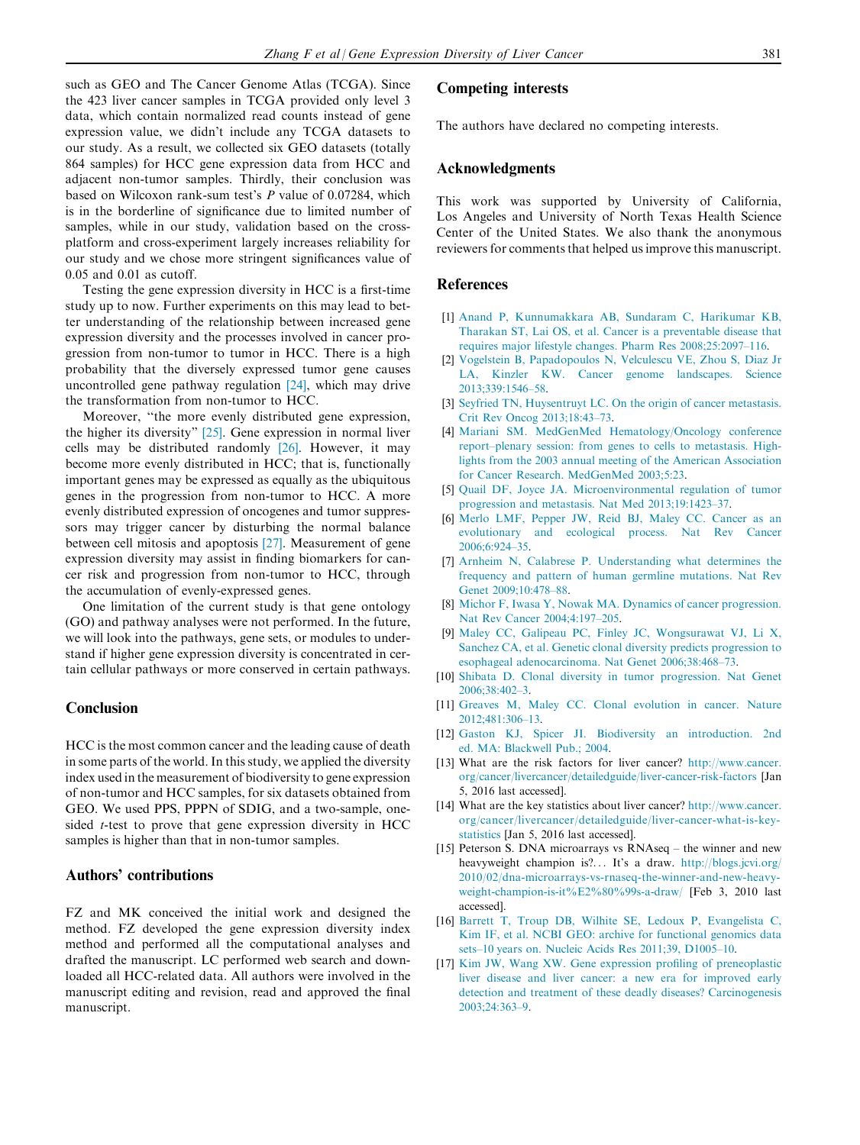<span id="page-4-0"></span>such as GEO and The Cancer Genome Atlas (TCGA). Since the 423 liver cancer samples in TCGA provided only level 3 data, which contain normalized read counts instead of gene expression value, we didn't include any TCGA datasets to our study. As a result, we collected six GEO datasets (totally 864 samples) for HCC gene expression data from HCC and adjacent non-tumor samples. Thirdly, their conclusion was based on Wilcoxon rank-sum test's P value of 0.07284, which is in the borderline of significance due to limited number of samples, while in our study, validation based on the crossplatform and cross-experiment largely increases reliability for our study and we chose more stringent significances value of 0.05 and 0.01 as cutoff.

Testing the gene expression diversity in HCC is a first-time study up to now. Further experiments on this may lead to better understanding of the relationship between increased gene expression diversity and the processes involved in cancer progression from non-tumor to tumor in HCC. There is a high probability that the diversely expressed tumor gene causes uncontrolled gene pathway regulation [\[24\]](#page-5-0), which may drive the transformation from non-tumor to HCC.

Moreover, ''the more evenly distributed gene expression, the higher its diversity" [\[25\]](#page-5-0). Gene expression in normal liver cells may be distributed randomly [\[26\].](#page-5-0) However, it may become more evenly distributed in HCC; that is, functionally important genes may be expressed as equally as the ubiquitous genes in the progression from non-tumor to HCC. A more evenly distributed expression of oncogenes and tumor suppressors may trigger cancer by disturbing the normal balance between cell mitosis and apoptosis [\[27\].](#page-5-0) Measurement of gene expression diversity may assist in finding biomarkers for cancer risk and progression from non-tumor to HCC, through the accumulation of evenly-expressed genes.

One limitation of the current study is that gene ontology (GO) and pathway analyses were not performed. In the future, we will look into the pathways, gene sets, or modules to understand if higher gene expression diversity is concentrated in certain cellular pathways or more conserved in certain pathways.

### Conclusion

HCC is the most common cancer and the leading cause of death in some parts of the world. In this study, we applied the diversity index used in the measurement of biodiversity to gene expression of non-tumor and HCC samples, for six datasets obtained from GEO. We used PPS, PPPN of SDIG, and a two-sample, onesided *t*-test to prove that gene expression diversity in HCC samples is higher than that in non-tumor samples.

#### Authors' contributions

FZ and MK conceived the initial work and designed the method. FZ developed the gene expression diversity index method and performed all the computational analyses and drafted the manuscript. LC performed web search and downloaded all HCC-related data. All authors were involved in the manuscript editing and revision, read and approved the final manuscript.

#### Competing interests

The authors have declared no competing interests.

#### Acknowledgments

This work was supported by University of California, Los Angeles and University of North Texas Health Science Center of the United States. We also thank the anonymous reviewers for comments that helped us improve this manuscript.

#### **References**

- [1] [Anand P, Kunnumakkara AB, Sundaram C, Harikumar KB,](http://refhub.elsevier.com/S1672-0229(16)00004-8/h0005) [Tharakan ST, Lai OS, et al. Cancer is a preventable disease that](http://refhub.elsevier.com/S1672-0229(16)00004-8/h0005) [requires major lifestyle changes. Pharm Res 2008;25:2097–116](http://refhub.elsevier.com/S1672-0229(16)00004-8/h0005).
- [2] [Vogelstein B, Papadopoulos N, Velculescu VE, Zhou S, Diaz Jr](http://refhub.elsevier.com/S1672-0229(16)00004-8/h0010) [LA, Kinzler KW. Cancer genome landscapes. Science](http://refhub.elsevier.com/S1672-0229(16)00004-8/h0010) [2013;339:1546–58.](http://refhub.elsevier.com/S1672-0229(16)00004-8/h0010)
- [3] [Seyfried TN, Huysentruyt LC. On the origin of cancer metastasis.](http://refhub.elsevier.com/S1672-0229(16)00004-8/h0015) [Crit Rev Oncog 2013;18:43–73](http://refhub.elsevier.com/S1672-0229(16)00004-8/h0015).
- [4] [Mariani SM. MedGenMed Hematology/Oncology conference](http://refhub.elsevier.com/S1672-0229(16)00004-8/h0020) [report–plenary session: from genes to cells to metastasis. High](http://refhub.elsevier.com/S1672-0229(16)00004-8/h0020)[lights from the 2003 annual meeting of the American Association](http://refhub.elsevier.com/S1672-0229(16)00004-8/h0020) [for Cancer Research. MedGenMed 2003;5:23](http://refhub.elsevier.com/S1672-0229(16)00004-8/h0020).
- [5] [Quail DF, Joyce JA. Microenvironmental regulation of tumor](http://refhub.elsevier.com/S1672-0229(16)00004-8/h0025) [progression and metastasis. Nat Med 2013;19:1423–37](http://refhub.elsevier.com/S1672-0229(16)00004-8/h0025).
- [6] [Merlo LMF, Pepper JW, Reid BJ, Maley CC. Cancer as an](http://refhub.elsevier.com/S1672-0229(16)00004-8/h0030) [evolutionary and ecological process. Nat Rev Cancer](http://refhub.elsevier.com/S1672-0229(16)00004-8/h0030) [2006;6:924–35](http://refhub.elsevier.com/S1672-0229(16)00004-8/h0030).
- [7] [Arnheim N, Calabrese P. Understanding what determines the](http://refhub.elsevier.com/S1672-0229(16)00004-8/h0035) [frequency and pattern of human germline mutations. Nat Rev](http://refhub.elsevier.com/S1672-0229(16)00004-8/h0035) [Genet 2009;10:478–88](http://refhub.elsevier.com/S1672-0229(16)00004-8/h0035).
- [8] [Michor F, Iwasa Y, Nowak MA. Dynamics of cancer progression.](http://refhub.elsevier.com/S1672-0229(16)00004-8/h0040) [Nat Rev Cancer 2004;4:197–205.](http://refhub.elsevier.com/S1672-0229(16)00004-8/h0040)
- [9] [Maley CC, Galipeau PC, Finley JC, Wongsurawat VJ, Li X,](http://refhub.elsevier.com/S1672-0229(16)00004-8/h0045) [Sanchez CA, et al. Genetic clonal diversity predicts progression to](http://refhub.elsevier.com/S1672-0229(16)00004-8/h0045) [esophageal adenocarcinoma. Nat Genet 2006;38:468–73.](http://refhub.elsevier.com/S1672-0229(16)00004-8/h0045)
- [10] [Shibata D. Clonal diversity in tumor progression. Nat Genet](http://refhub.elsevier.com/S1672-0229(16)00004-8/h0050) [2006;38:402–3](http://refhub.elsevier.com/S1672-0229(16)00004-8/h0050).
- [11] [Greaves M, Maley CC. Clonal evolution in cancer. Nature](http://refhub.elsevier.com/S1672-0229(16)00004-8/h0055) [2012;481:306–13.](http://refhub.elsevier.com/S1672-0229(16)00004-8/h0055)
- [12] [Gaston KJ, Spicer JI. Biodiversity an introduction. 2nd](http://refhub.elsevier.com/S1672-0229(16)00004-8/h0060) [ed. MA: Blackwell Pub.; 2004](http://refhub.elsevier.com/S1672-0229(16)00004-8/h0060).
- [13] What are the risk factors for liver cancer? [http://www.cancer.](http://www.cancer.org/cancer/livercancer/detailedguide/liver-cancer-risk-factors) [org/cancer/livercancer/detailedguide/liver-cancer-risk-factors](http://www.cancer.org/cancer/livercancer/detailedguide/liver-cancer-risk-factors) [Jan 5, 2016 last accessed].
- [14] What are the key statistics about liver cancer? [http://www.cancer.](http://www.cancer.org/cancer/livercancer/detailedguide/liver-cancer-what-is-key-statistics) [org/cancer/livercancer/detailedguide/liver-cancer-what-is-key](http://www.cancer.org/cancer/livercancer/detailedguide/liver-cancer-what-is-key-statistics)[statistics](http://www.cancer.org/cancer/livercancer/detailedguide/liver-cancer-what-is-key-statistics) [Jan 5, 2016 last accessed].
- [15] Peterson S. DNA microarrays vs RNAseq the winner and new heavyweight champion is?... It's a draw. [http://blogs.jcvi.org/](http://blogs.jcvi.org/2010/02/dna-microarrays-vs-rnaseq-the-winner-and-new-heavyweight-champion-is-it%E2%80%99s-a-draw/) [2010/02/dna-microarrays-vs-rnaseq-the-winner-and-new-heavy](http://blogs.jcvi.org/2010/02/dna-microarrays-vs-rnaseq-the-winner-and-new-heavyweight-champion-is-it%E2%80%99s-a-draw/)[weight-champion-is-it%E2%80%99s-a-draw/](http://blogs.jcvi.org/2010/02/dna-microarrays-vs-rnaseq-the-winner-and-new-heavyweight-champion-is-it%E2%80%99s-a-draw/) [Feb 3, 2010 last accessed].
- [16] [Barrett T, Troup DB, Wilhite SE, Ledoux P, Evangelista C,](http://refhub.elsevier.com/S1672-0229(16)00004-8/h0080) [Kim IF, et al. NCBI GEO: archive for functional genomics data](http://refhub.elsevier.com/S1672-0229(16)00004-8/h0080) [sets–10 years on. Nucleic Acids Res 2011;39, D1005–10.](http://refhub.elsevier.com/S1672-0229(16)00004-8/h0080)
- [17] [Kim JW, Wang XW. Gene expression profiling of preneoplastic](http://refhub.elsevier.com/S1672-0229(16)00004-8/h0085) [liver disease and liver cancer: a new era for improved early](http://refhub.elsevier.com/S1672-0229(16)00004-8/h0085) [detection and treatment of these deadly diseases? Carcinogenesis](http://refhub.elsevier.com/S1672-0229(16)00004-8/h0085) [2003;24:363–9](http://refhub.elsevier.com/S1672-0229(16)00004-8/h0085).